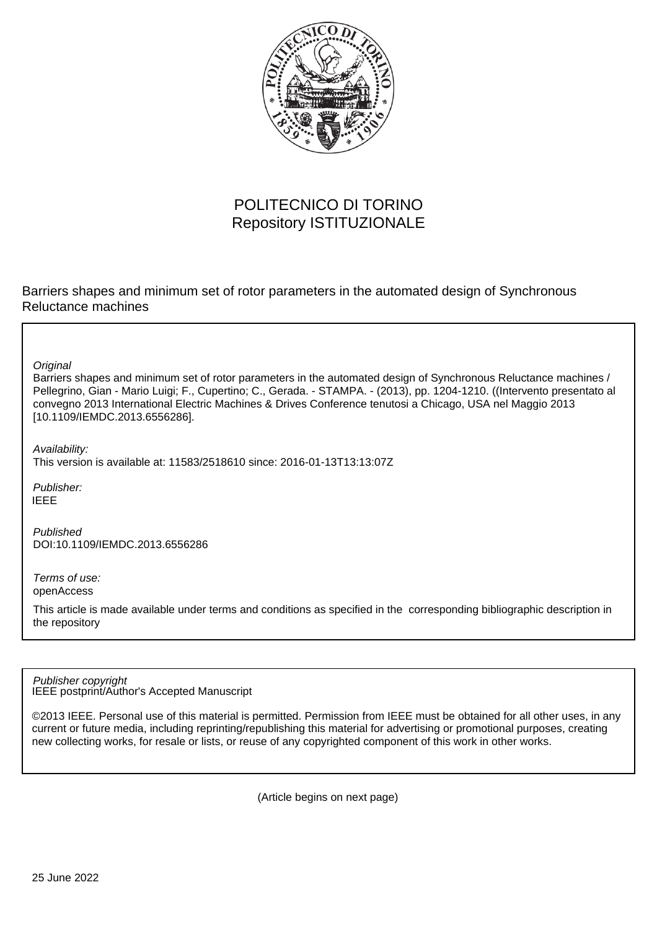

# POLITECNICO DI TORINO Repository ISTITUZIONALE

Barriers shapes and minimum set of rotor parameters in the automated design of Synchronous Reluctance machines

**Original** 

Barriers shapes and minimum set of rotor parameters in the automated design of Synchronous Reluctance machines / Pellegrino, Gian - Mario Luigi; F., Cupertino; C., Gerada. - STAMPA. - (2013), pp. 1204-1210. ((Intervento presentato al convegno 2013 International Electric Machines & Drives Conference tenutosi a Chicago, USA nel Maggio 2013 [10.1109/IEMDC.2013.6556286].

Availability:

This version is available at: 11583/2518610 since: 2016-01-13T13:13:07Z

Publisher: IEEE

Published DOI:10.1109/IEMDC.2013.6556286

Terms of use: openAccess

This article is made available under terms and conditions as specified in the corresponding bibliographic description in the repository

IEEE postprint/Author's Accepted Manuscript Publisher copyright

©2013 IEEE. Personal use of this material is permitted. Permission from IEEE must be obtained for all other uses, in any current or future media, including reprinting/republishing this material for advertising or promotional purposes, creating new collecting works, for resale or lists, or reuse of any copyrighted component of this work in other works.

(Article begins on next page)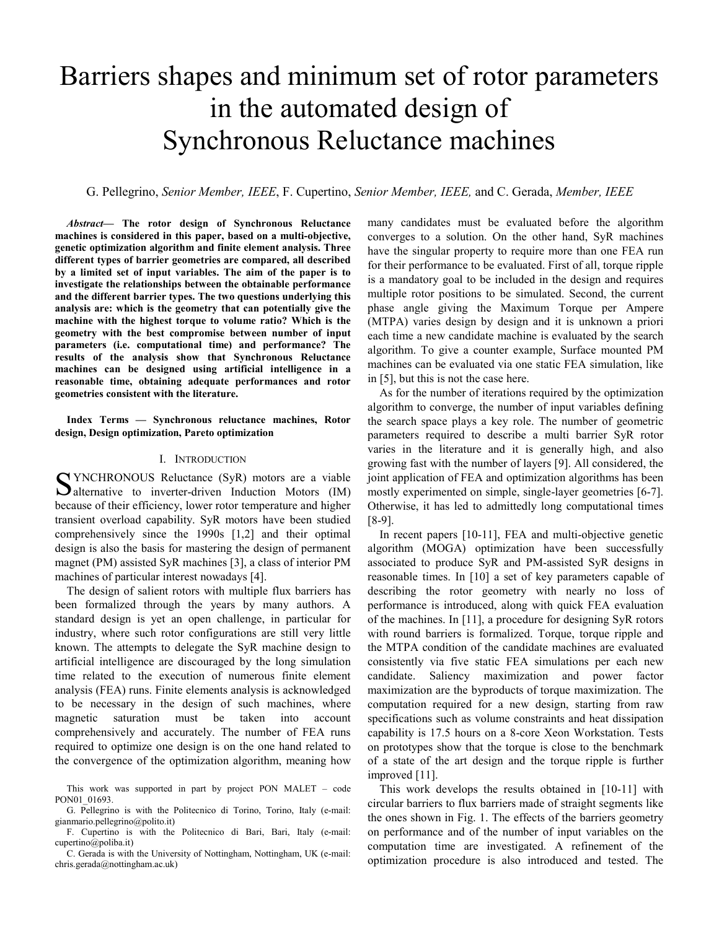# Barriers shapes and minimum set of rotor parameters in the automated design of Synchronous Reluctance machines

G. Pellegrino, *Senior Member, IEEE*, F. Cupertino, *Senior Member, IEEE,* and C. Gerada, *Member, IEEE*

*Abstract***— The rotor design of Synchronous Reluctance machines is considered in this paper, based on a multi-objective, genetic optimization algorithm and finite element analysis. Three different types of barrier geometries are compared, all described by a limited set of input variables. The aim of the paper is to investigate the relationships between the obtainable performance and the different barrier types. The two questions underlying this analysis are: which is the geometry that can potentially give the machine with the highest torque to volume ratio? Which is the geometry with the best compromise between number of input parameters (i.e. computational time) and performance? The results of the analysis show that Synchronous Reluctance machines can be designed using artificial intelligence in a reasonable time, obtaining adequate performances and rotor geometries consistent with the literature.** 

**Index Terms — Synchronous reluctance machines, Rotor design, Design optimization, Pareto optimization**

#### I. INTRODUCTION

YNCHRONOUS Reluctance (SyR) motors are a viable SYNCHRONOUS Reluctance (SyR) motors are a viable<br>
Salternative to inverter-driven Induction Motors (IM) because of their efficiency, lower rotor temperature and higher transient overload capability. SyR motors have been studied comprehensively since the 1990s [1,2] and their optimal design is also the basis for mastering the design of permanent magnet (PM) assisted SyR machines [3], a class of interior PM machines of particular interest nowadays [4].

The design of salient rotors with multiple flux barriers has been formalized through the years by many authors. A standard design is yet an open challenge, in particular for industry, where such rotor configurations are still very little known. The attempts to delegate the SyR machine design to artificial intelligence are discouraged by the long simulation time related to the execution of numerous finite element analysis (FEA) runs. Finite elements analysis is acknowledged to be necessary in the design of such machines, where magnetic saturation must be taken into account comprehensively and accurately. The number of FEA runs required to optimize one design is on the one hand related to the convergence of the optimization algorithm, meaning how many candidates must be evaluated before the algorithm converges to a solution. On the other hand, SyR machines have the singular property to require more than one FEA run for their performance to be evaluated. First of all, torque ripple is a mandatory goal to be included in the design and requires multiple rotor positions to be simulated. Second, the current phase angle giving the Maximum Torque per Ampere (MTPA) varies design by design and it is unknown a priori each time a new candidate machine is evaluated by the search algorithm. To give a counter example, Surface mounted PM machines can be evaluated via one static FEA simulation, like in [5], but this is not the case here.

As for the number of iterations required by the optimization algorithm to converge, the number of input variables defining the search space plays a key role. The number of geometric parameters required to describe a multi barrier SyR rotor varies in the literature and it is generally high, and also growing fast with the number of layers [9]. All considered, the joint application of FEA and optimization algorithms has been mostly experimented on simple, single-layer geometries [6-7]. Otherwise, it has led to admittedly long computational times [8-9].

In recent papers [10-11], FEA and multi-objective genetic algorithm (MOGA) optimization have been successfully associated to produce SyR and PM-assisted SyR designs in reasonable times. In [10] a set of key parameters capable of describing the rotor geometry with nearly no loss of performance is introduced, along with quick FEA evaluation of the machines. In [11], a procedure for designing SyR rotors with round barriers is formalized. Torque, torque ripple and the MTPA condition of the candidate machines are evaluated consistently via five static FEA simulations per each new candidate. Saliency maximization and power factor maximization are the byproducts of torque maximization. The computation required for a new design, starting from raw specifications such as volume constraints and heat dissipation capability is 17.5 hours on a 8-core Xeon Workstation. Tests on prototypes show that the torque is close to the benchmark of a state of the art design and the torque ripple is further improved [11].

This work develops the results obtained in [10-11] with circular barriers to flux barriers made of straight segments like the ones shown in Fig. 1. The effects of the barriers geometry on performance and of the number of input variables on the computation time are investigated. A refinement of the optimization procedure is also introduced and tested. The

This work was supported in part by project PON MALET – code PON01\_01693.

G. Pellegrino is with the Politecnico di Torino, Torino, Italy (e-mail: gianmario.pellegrino@polito.it)

F. Cupertino is with the Politecnico di Bari, Bari, Italy (e-mail: cupertino@poliba.it)

C. Gerada is with the University of Nottingham, Nottingham, UK (e-mail: chris.gerada@nottingham.ac.uk)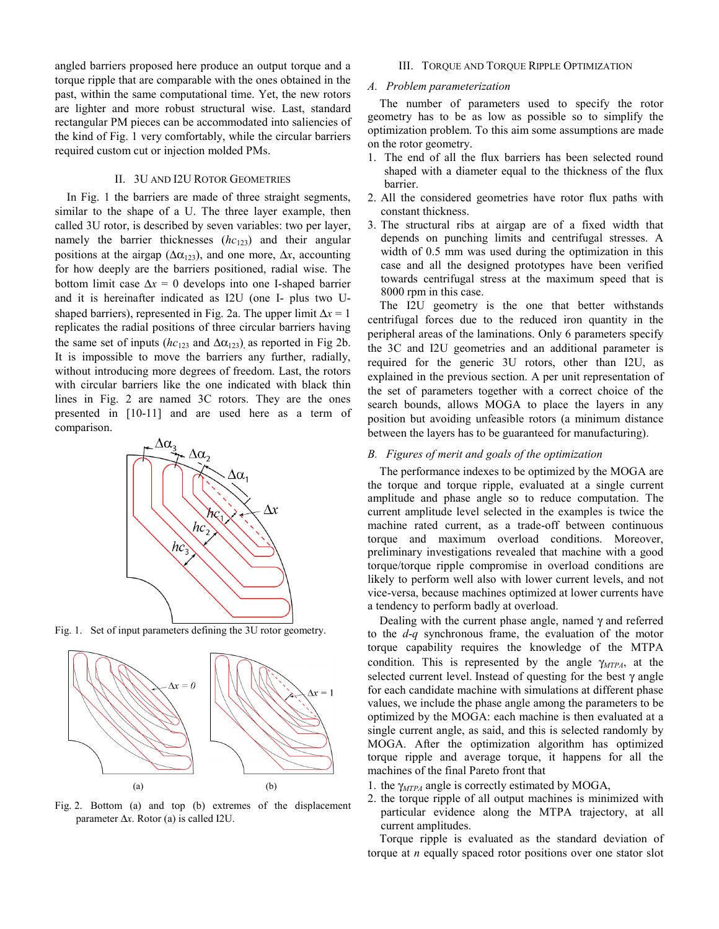angled barriers proposed here produce an output torque and a torque ripple that are comparable with the ones obtained in the past, within the same computational time. Yet, the new rotors are lighter and more robust structural wise. Last, standard rectangular PM pieces can be accommodated into saliencies of the kind of Fig. 1 very comfortably, while the circular barriers required custom cut or injection molded PMs.

#### II. 3U AND I2U ROTOR GEOMETRIES

In Fig. 1 the barriers are made of three straight segments, similar to the shape of a U. The three layer example, then called 3U rotor, is described by seven variables: two per layer, namely the barrier thicknesses (*hc*<sub>123</sub>) and their angular positions at the airgap ( $\Delta \alpha_{123}$ ), and one more,  $\Delta x$ , accounting for how deeply are the barriers positioned, radial wise. The bottom limit case  $\Delta x = 0$  develops into one I-shaped barrier and it is hereinafter indicated as I2U (one I- plus two Ushaped barriers), represented in Fig. 2a. The upper limit  $\Delta x = 1$ replicates the radial positions of three circular barriers having the same set of inputs ( $hc_{123}$  and  $\Delta \alpha_{123}$ ) as reported in Fig 2b. It is impossible to move the barriers any further, radially, without introducing more degrees of freedom. Last, the rotors with circular barriers like the one indicated with black thin lines in Fig. 2 are named 3C rotors. They are the ones presented in [10-11] and are used here as a term of comparison.



Fig. 1. Set of input parameters defining the 3U rotor geometry.



Fig. 2. Bottom (a) and top (b) extremes of the displacement parameter Δ*x*. Rotor (a) is called I2U.

#### III. TORQUE AND TORQUE RIPPLE OPTIMIZATION

#### *A. Problem parameterization*

The number of parameters used to specify the rotor geometry has to be as low as possible so to simplify the optimization problem. To this aim some assumptions are made on the rotor geometry.

- 1. The end of all the flux barriers has been selected round shaped with a diameter equal to the thickness of the flux barrier.
- 2. All the considered geometries have rotor flux paths with constant thickness.
- 3. The structural ribs at airgap are of a fixed width that depends on punching limits and centrifugal stresses. A width of 0.5 mm was used during the optimization in this case and all the designed prototypes have been verified towards centrifugal stress at the maximum speed that is 8000 rpm in this case.

The I2U geometry is the one that better withstands centrifugal forces due to the reduced iron quantity in the peripheral areas of the laminations. Only 6 parameters specify the 3C and I2U geometries and an additional parameter is required for the generic 3U rotors, other than I2U, as explained in the previous section. A per unit representation of the set of parameters together with a correct choice of the search bounds, allows MOGA to place the layers in any position but avoiding unfeasible rotors (a minimum distance between the layers has to be guaranteed for manufacturing).

#### *B. Figures of merit and goals of the optimization*

The performance indexes to be optimized by the MOGA are the torque and torque ripple, evaluated at a single current amplitude and phase angle so to reduce computation. The current amplitude level selected in the examples is twice the machine rated current, as a trade-off between continuous torque and maximum overload conditions. Moreover, preliminary investigations revealed that machine with a good torque/torque ripple compromise in overload conditions are likely to perform well also with lower current levels, and not vice-versa, because machines optimized at lower currents have a tendency to perform badly at overload.

Dealing with the current phase angle, named  $\gamma$  and referred to the *d*-*q* synchronous frame, the evaluation of the motor torque capability requires the knowledge of the MTPA condition. This is represented by the angle γ*MTPA*, at the selected current level. Instead of questing for the best  $\gamma$  angle for each candidate machine with simulations at different phase values, we include the phase angle among the parameters to be optimized by the MOGA: each machine is then evaluated at a single current angle, as said, and this is selected randomly by MOGA. After the optimization algorithm has optimized torque ripple and average torque, it happens for all the machines of the final Pareto front that

- 1. the γ*MTPA* angle is correctly estimated by MOGA,
- 2. the torque ripple of all output machines is minimized with particular evidence along the MTPA trajectory, at all current amplitudes.

Torque ripple is evaluated as the standard deviation of torque at *n* equally spaced rotor positions over one stator slot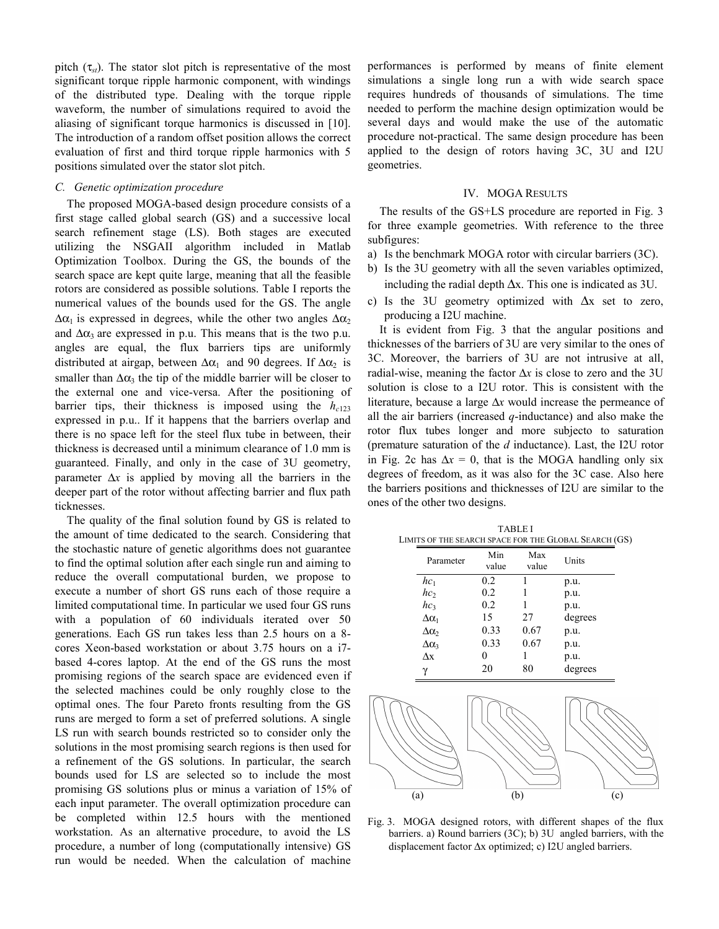pitch  $(\tau_{st})$ . The stator slot pitch is representative of the most significant torque ripple harmonic component, with windings of the distributed type. Dealing with the torque ripple waveform, the number of simulations required to avoid the aliasing of significant torque harmonics is discussed in [10]. The introduction of a random offset position allows the correct evaluation of first and third torque ripple harmonics with 5 positions simulated over the stator slot pitch.

#### *C. Genetic optimization procedure*

The proposed MOGA-based design procedure consists of a first stage called global search (GS) and a successive local search refinement stage (LS). Both stages are executed utilizing the NSGAII algorithm included in Matlab Optimization Toolbox. During the GS, the bounds of the search space are kept quite large, meaning that all the feasible rotors are considered as possible solutions. Table I reports the numerical values of the bounds used for the GS. The angle  $\Delta \alpha_1$  is expressed in degrees, while the other two angles  $\Delta \alpha_2$ and  $\Delta \alpha_3$  are expressed in p.u. This means that is the two p.u. angles are equal, the flux barriers tips are uniformly distributed at airgap, between  $\Delta \alpha_1$  and 90 degrees. If  $\Delta \alpha_2$  is smaller than  $\Delta \alpha_3$  the tip of the middle barrier will be closer to the external one and vice-versa. After the positioning of barrier tips, their thickness is imposed using the  $h_{c123}$ expressed in p.u.. If it happens that the barriers overlap and there is no space left for the steel flux tube in between, their thickness is decreased until a minimum clearance of 1.0 mm is guaranteed. Finally, and only in the case of 3U geometry, parameter  $\Delta x$  is applied by moving all the barriers in the deeper part of the rotor without affecting barrier and flux path ticknesses.

The quality of the final solution found by GS is related to the amount of time dedicated to the search. Considering that the stochastic nature of genetic algorithms does not guarantee to find the optimal solution after each single run and aiming to reduce the overall computational burden, we propose to execute a number of short GS runs each of those require a limited computational time. In particular we used four GS runs with a population of 60 individuals iterated over 50 generations. Each GS run takes less than 2.5 hours on a 8 cores Xeon-based workstation or about 3.75 hours on a i7 based 4-cores laptop. At the end of the GS runs the most promising regions of the search space are evidenced even if the selected machines could be only roughly close to the optimal ones. The four Pareto fronts resulting from the GS runs are merged to form a set of preferred solutions. A single LS run with search bounds restricted so to consider only the solutions in the most promising search regions is then used for a refinement of the GS solutions. In particular, the search bounds used for LS are selected so to include the most promising GS solutions plus or minus a variation of 15% of each input parameter. The overall optimization procedure can be completed within 12.5 hours with the mentioned workstation. As an alternative procedure, to avoid the LS procedure, a number of long (computationally intensive) GS run would be needed. When the calculation of machine performances is performed by means of finite element simulations a single long run a with wide search space requires hundreds of thousands of simulations. The time needed to perform the machine design optimization would be several days and would make the use of the automatic procedure not-practical. The same design procedure has been applied to the design of rotors having 3C, 3U and I2U geometries.

#### IV. MOGA RESULTS

The results of the GS+LS procedure are reported in Fig. 3 for three example geometries. With reference to the three subfigures:

- a) Is the benchmark MOGA rotor with circular barriers (3C).
- b) Is the 3U geometry with all the seven variables optimized, including the radial depth  $\Delta x$ . This one is indicated as 3U.
- c) Is the 3U geometry optimized with  $\Delta x$  set to zero, producing a I2U machine.

It is evident from Fig. 3 that the angular positions and thicknesses of the barriers of 3U are very similar to the ones of 3C. Moreover, the barriers of 3U are not intrusive at all, radial-wise, meaning the factor  $\Delta x$  is close to zero and the 3U solution is close to a I2U rotor. This is consistent with the literature, because a large Δ*x* would increase the permeance of all the air barriers (increased *q*-inductance) and also make the rotor flux tubes longer and more subjecto to saturation (premature saturation of the *d* inductance). Last, the I2U rotor in Fig. 2c has  $\Delta x = 0$ , that is the MOGA handling only six degrees of freedom, as it was also for the 3C case. Also here the barriers positions and thicknesses of I2U are similar to the ones of the other two designs.

| <b>TABLE I</b><br>LIMITS OF THE SEARCH SPACE FOR THE GLOBAL SEARCH (GS) |                  |              |              |         |  |
|-------------------------------------------------------------------------|------------------|--------------|--------------|---------|--|
|                                                                         | Parameter        | Min<br>value | Max<br>value | Units   |  |
|                                                                         | $hc_1$           | 0.2          | 1            | p.u.    |  |
|                                                                         | hc <sub>2</sub>  | 0.2          |              | p.u.    |  |
|                                                                         | hc <sub>3</sub>  | 0.2          |              | p.u.    |  |
|                                                                         | $\Delta\alpha_1$ | 15           | 27           | degrees |  |
|                                                                         | $\Delta\alpha_2$ | 0.33         | 0.67         | p.u.    |  |
|                                                                         | Δα <sub>3</sub>  | 0.33         | 0.67         | p.u.    |  |
|                                                                         | $\Delta x$       |              |              | p.u.    |  |
|                                                                         | ν                | 20           | 80           | degrees |  |



Fig. 3. MOGA designed rotors, with different shapes of the flux barriers. a) Round barriers (3C); b) 3U angled barriers, with the displacement factor Δx optimized; c) I2U angled barriers.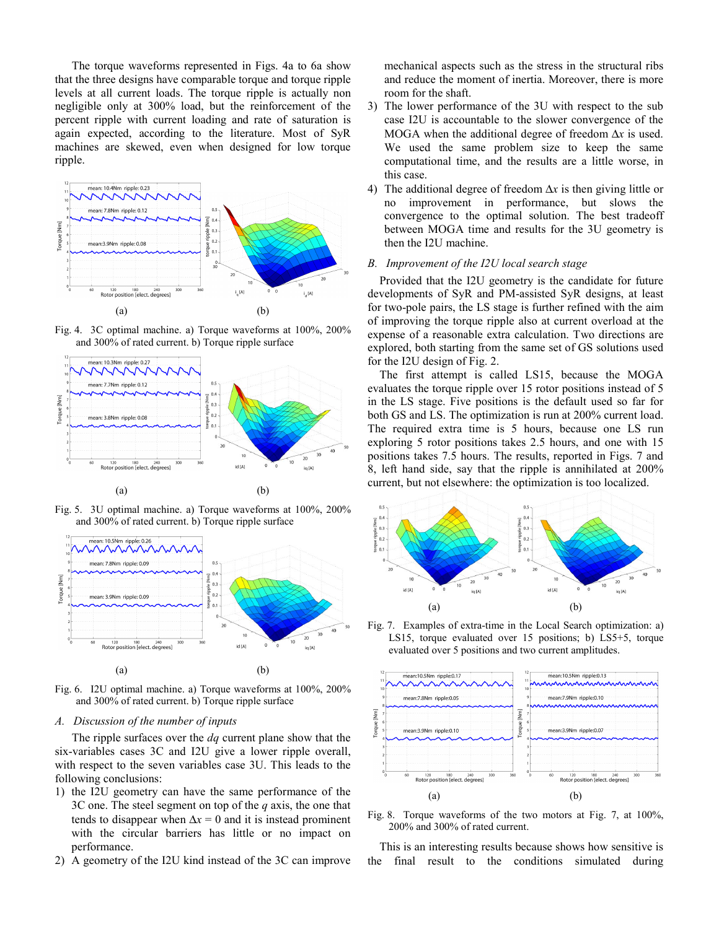The torque waveforms represented in Figs. 4a to 6a show that the three designs have comparable torque and torque ripple levels at all current loads. The torque ripple is actually non negligible only at 300% load, but the reinforcement of the percent ripple with current loading and rate of saturation is again expected, according to the literature. Most of SyR machines are skewed, even when designed for low torque ripple.



Fig. 4. 3C optimal machine. a) Torque waveforms at 100%, 200% and 300% of rated current. b) Torque ripple surface



Fig. 5. 3U optimal machine. a) Torque waveforms at 100%, 200% and 300% of rated current. b) Torque ripple surface



Fig. 6. I2U optimal machine. a) Torque waveforms at 100%, 200% and 300% of rated current. b) Torque ripple surface

#### *A. Discussion of the number of inputs*

The ripple surfaces over the *dq* current plane show that the six-variables cases 3C and I2U give a lower ripple overall, with respect to the seven variables case 3U. This leads to the following conclusions:

- 1) the I2U geometry can have the same performance of the 3C one. The steel segment on top of the *q* axis, the one that tends to disappear when  $\Delta x = 0$  and it is instead prominent with the circular barriers has little or no impact on performance.
- 2) A geometry of the I2U kind instead of the 3C can improve

mechanical aspects such as the stress in the structural ribs and reduce the moment of inertia. Moreover, there is more room for the shaft.

- 3) The lower performance of the 3U with respect to the sub case I2U is accountable to the slower convergence of the MOGA when the additional degree of freedom Δ*x* is used. We used the same problem size to keep the same computational time, and the results are a little worse, in this case.
- 4) The additional degree of freedom Δ*x* is then giving little or no improvement in performance, but slows the convergence to the optimal solution. The best tradeoff between MOGA time and results for the 3U geometry is then the I2U machine.

### *B. Improvement of the I2U local search stage*

Provided that the I2U geometry is the candidate for future developments of SyR and PM-assisted SyR designs, at least for two-pole pairs, the LS stage is further refined with the aim of improving the torque ripple also at current overload at the expense of a reasonable extra calculation. Two directions are explored, both starting from the same set of GS solutions used for the I2U design of Fig. 2.

The first attempt is called LS15, because the MOGA evaluates the torque ripple over 15 rotor positions instead of 5 in the LS stage. Five positions is the default used so far for both GS and LS. The optimization is run at 200% current load. The required extra time is 5 hours, because one LS run exploring 5 rotor positions takes 2.5 hours, and one with 15 positions takes 7.5 hours. The results, reported in Figs. 7 and 8, left hand side, say that the ripple is annihilated at 200% current, but not elsewhere: the optimization is too localized.



Fig. 7. Examples of extra-time in the Local Search optimization: a) LS15, torque evaluated over 15 positions; b) LS5+5, torque evaluated over 5 positions and two current amplitudes.



Fig. 8. Torque waveforms of the two motors at Fig. 7, at 100%, 200% and 300% of rated current.

This is an interesting results because shows how sensitive is the final result to the conditions simulated during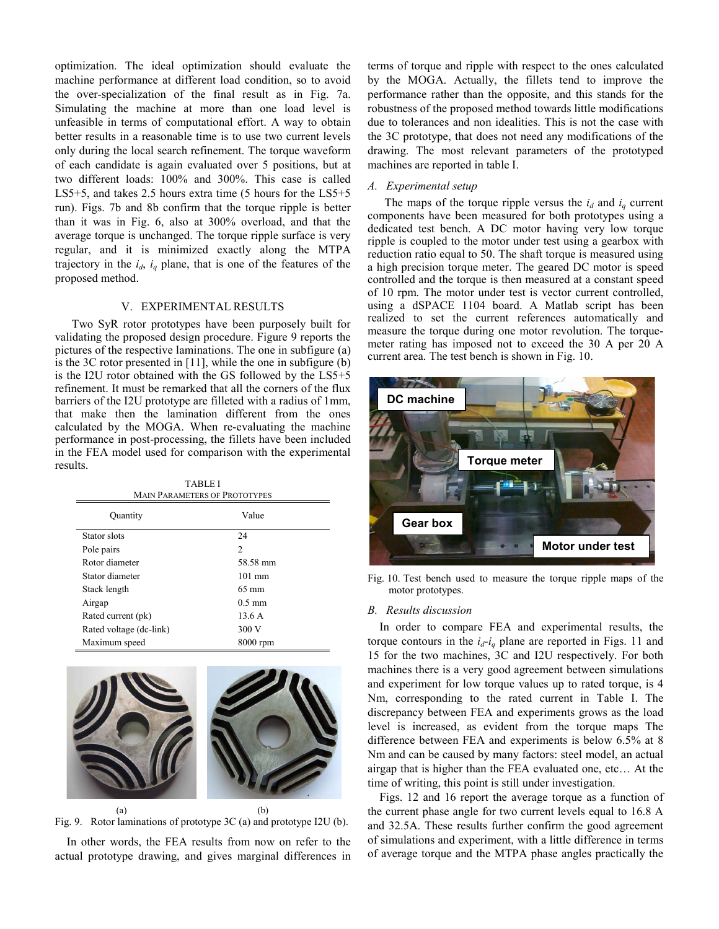optimization. The ideal optimization should evaluate the machine performance at different load condition, so to avoid the over-specialization of the final result as in Fig. 7a. Simulating the machine at more than one load level is unfeasible in terms of computational effort. A way to obtain better results in a reasonable time is to use two current levels only during the local search refinement. The torque waveform of each candidate is again evaluated over 5 positions, but at two different loads: 100% and 300%. This case is called LS5+5, and takes 2.5 hours extra time (5 hours for the LS5+5 run). Figs. 7b and 8b confirm that the torque ripple is better than it was in Fig. 6, also at 300% overload, and that the average torque is unchanged. The torque ripple surface is very regular, and it is minimized exactly along the MTPA trajectory in the  $i_d$ ,  $i_q$  plane, that is one of the features of the proposed method.

#### V. EXPERIMENTAL RESULTS

Two SyR rotor prototypes have been purposely built for validating the proposed design procedure. Figure 9 reports the pictures of the respective laminations. The one in subfigure (a) is the 3C rotor presented in [11], while the one in subfigure (b) is the I2U rotor obtained with the GS followed by the LS5+5 refinement. It must be remarked that all the corners of the flux barriers of the I2U prototype are filleted with a radius of 1mm, that make then the lamination different from the ones calculated by the MOGA. When re-evaluating the machine performance in post-processing, the fillets have been included in the FEA model used for comparison with the experimental results.

| <b>TABLE I</b><br><b>MAIN PARAMETERS OF PROTOTYPES</b> |                  |  |  |  |
|--------------------------------------------------------|------------------|--|--|--|
| Quantity                                               | Value            |  |  |  |
| Stator slots                                           | 24               |  |  |  |
| Pole pairs                                             | 2                |  |  |  |
| Rotor diameter                                         | 58.58 mm         |  |  |  |
| Stator diameter                                        | $101 \text{ mm}$ |  |  |  |
| Stack length                                           | 65 mm            |  |  |  |
| Airgap                                                 | $0.5 \text{ mm}$ |  |  |  |
| Rated current (pk)                                     | 13.6A            |  |  |  |
| Rated voltage (dc-link)                                | 300 V            |  |  |  |
| Maximum speed                                          | $8000$ rpm       |  |  |  |



Fig. 9. Rotor laminations of prototype 3C (a) and prototype I2U (b).

In other words, the FEA results from now on refer to the actual prototype drawing, and gives marginal differences in terms of torque and ripple with respect to the ones calculated by the MOGA. Actually, the fillets tend to improve the performance rather than the opposite, and this stands for the robustness of the proposed method towards little modifications due to tolerances and non idealities. This is not the case with the 3C prototype, that does not need any modifications of the drawing. The most relevant parameters of the prototyped machines are reported in table I.

#### *A. Experimental setup*

The maps of the torque ripple versus the  $i_d$  and  $i_q$  current components have been measured for both prototypes using a dedicated test bench. A DC motor having very low torque ripple is coupled to the motor under test using a gearbox with reduction ratio equal to 50. The shaft torque is measured using a high precision torque meter. The geared DC motor is speed controlled and the torque is then measured at a constant speed of 10 rpm. The motor under test is vector current controlled, using a dSPACE 1104 board. A Matlab script has been realized to set the current references automatically and measure the torque during one motor revolution. The torquemeter rating has imposed not to exceed the 30 A per 20 A current area. The test bench is shown in Fig. 10.



Fig. 10. Test bench used to measure the torque ripple maps of the motor prototypes.

#### *B. Results discussion*

In order to compare FEA and experimental results, the torque contours in the  $i_d$ - $i_q$  plane are reported in Figs. 11 and 15 for the two machines, 3C and I2U respectively. For both machines there is a very good agreement between simulations and experiment for low torque values up to rated torque, is 4 Nm, corresponding to the rated current in Table I. The discrepancy between FEA and experiments grows as the load level is increased, as evident from the torque maps The difference between FEA and experiments is below 6.5% at 8 Nm and can be caused by many factors: steel model, an actual airgap that is higher than the FEA evaluated one, etc… At the time of writing, this point is still under investigation.

Figs. 12 and 16 report the average torque as a function of the current phase angle for two current levels equal to 16.8 A and 32.5A. These results further confirm the good agreement of simulations and experiment, with a little difference in terms of average torque and the MTPA phase angles practically the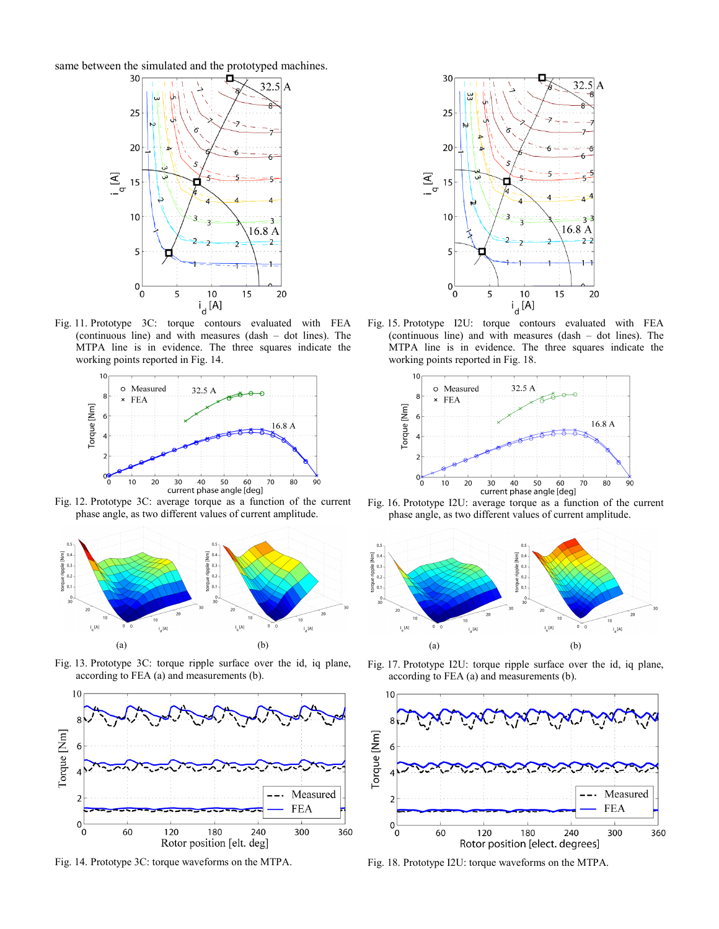same between the simulated and the prototyped machines.



Fig. 11. Prototype 3C: torque contours evaluated with FEA (continuous line) and with measures (dash – dot lines). The MTPA line is in evidence. The three squares indicate the working points reported in Fig. 14.



phase angle, as two different values of current amplitude.



Fig. 13. Prototype 3C: torque ripple surface over the id, iq plane, according to FEA (a) and measurements (b).



Fig. 14. Prototype 3C: torque waveforms on the MTPA.



Fig. 15. Prototype I2U: torque contours evaluated with FEA (continuous line) and with measures (dash – dot lines). The MTPA line is in evidence. The three squares indicate the working points reported in Fig. 18.



Fig. 16. Prototype I2U: average torque as a function of the current phase angle, as two different values of current amplitude.



Fig. 17. Prototype I2U: torque ripple surface over the id, iq plane, according to FEA (a) and measurements (b).



Fig. 18. Prototype I2U: torque waveforms on the MTPA.